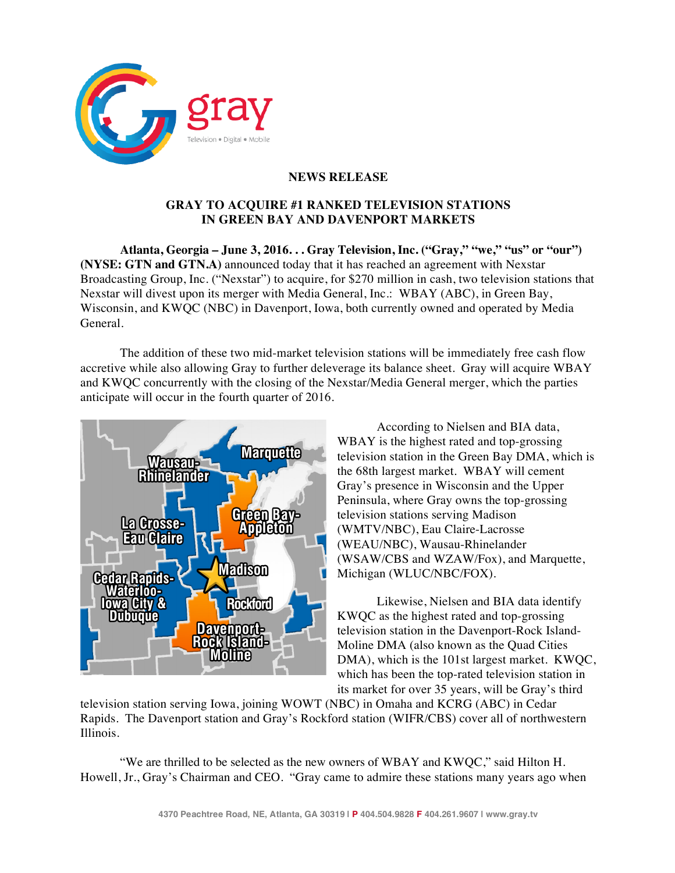

## **NEWS RELEASE**

## **GRAY TO ACQUIRE #1 RANKED TELEVISION STATIONS IN GREEN BAY AND DAVENPORT MARKETS**

**Atlanta, Georgia – June 3, 2016. . . Gray Television, Inc. ("Gray," "we," "us" or "our") (NYSE: GTN and GTN.A)** announced today that it has reached an agreement with Nexstar Broadcasting Group, Inc. ("Nexstar") to acquire, for \$270 million in cash, two television stations that Nexstar will divest upon its merger with Media General, Inc.: WBAY (ABC), in Green Bay, Wisconsin, and KWQC (NBC) in Davenport, Iowa, both currently owned and operated by Media General.

The addition of these two mid-market television stations will be immediately free cash flow accretive while also allowing Gray to further deleverage its balance sheet. Gray will acquire WBAY and KWQC concurrently with the closing of the Nexstar/Media General merger, which the parties anticipate will occur in the fourth quarter of 2016.



According to Nielsen and BIA data, WBAY is the highest rated and top-grossing television station in the Green Bay DMA, which is the 68th largest market. WBAY will cement Gray's presence in Wisconsin and the Upper Peninsula, where Gray owns the top-grossing television stations serving Madison (WMTV/NBC), Eau Claire-Lacrosse (WEAU/NBC), Wausau-Rhinelander (WSAW/CBS and WZAW/Fox), and Marquette, Michigan (WLUC/NBC/FOX).

Likewise, Nielsen and BIA data identify KWQC as the highest rated and top-grossing television station in the Davenport-Rock Island-Moline DMA (also known as the Quad Cities DMA), which is the 101st largest market. KWQC, which has been the top-rated television station in its market for over 35 years, will be Gray's third

television station serving Iowa, joining WOWT (NBC) in Omaha and KCRG (ABC) in Cedar Rapids. The Davenport station and Gray's Rockford station (WIFR/CBS) cover all of northwestern Illinois.

"We are thrilled to be selected as the new owners of WBAY and KWQC," said Hilton H. Howell, Jr., Gray's Chairman and CEO. "Gray came to admire these stations many years ago when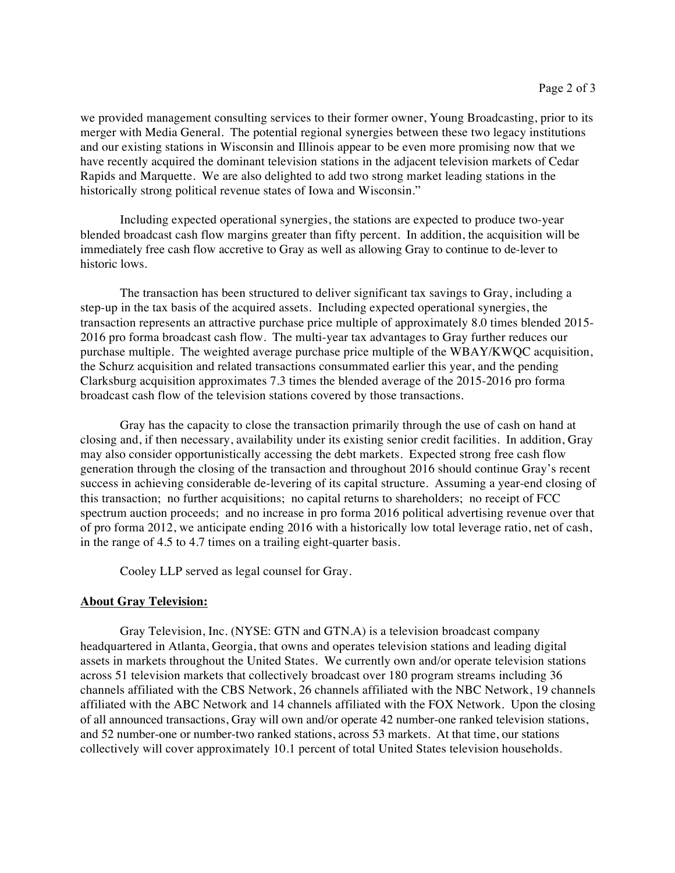we provided management consulting services to their former owner, Young Broadcasting, prior to its merger with Media General. The potential regional synergies between these two legacy institutions and our existing stations in Wisconsin and Illinois appear to be even more promising now that we have recently acquired the dominant television stations in the adjacent television markets of Cedar Rapids and Marquette. We are also delighted to add two strong market leading stations in the historically strong political revenue states of Iowa and Wisconsin."

Including expected operational synergies, the stations are expected to produce two-year blended broadcast cash flow margins greater than fifty percent. In addition, the acquisition will be immediately free cash flow accretive to Gray as well as allowing Gray to continue to de-lever to historic lows.

The transaction has been structured to deliver significant tax savings to Gray, including a step-up in the tax basis of the acquired assets. Including expected operational synergies, the transaction represents an attractive purchase price multiple of approximately 8.0 times blended 2015- 2016 pro forma broadcast cash flow. The multi-year tax advantages to Gray further reduces our purchase multiple. The weighted average purchase price multiple of the WBAY/KWQC acquisition, the Schurz acquisition and related transactions consummated earlier this year, and the pending Clarksburg acquisition approximates 7.3 times the blended average of the 2015-2016 pro forma broadcast cash flow of the television stations covered by those transactions.

Gray has the capacity to close the transaction primarily through the use of cash on hand at closing and, if then necessary, availability under its existing senior credit facilities. In addition, Gray may also consider opportunistically accessing the debt markets. Expected strong free cash flow generation through the closing of the transaction and throughout 2016 should continue Gray's recent success in achieving considerable de-levering of its capital structure. Assuming a year-end closing of this transaction; no further acquisitions; no capital returns to shareholders; no receipt of FCC spectrum auction proceeds; and no increase in pro forma 2016 political advertising revenue over that of pro forma 2012, we anticipate ending 2016 with a historically low total leverage ratio, net of cash, in the range of 4.5 to 4.7 times on a trailing eight-quarter basis.

Cooley LLP served as legal counsel for Gray.

## **About Gray Television:**

Gray Television, Inc. (NYSE: GTN and GTN.A) is a television broadcast company headquartered in Atlanta, Georgia, that owns and operates television stations and leading digital assets in markets throughout the United States. We currently own and/or operate television stations across 51 television markets that collectively broadcast over 180 program streams including 36 channels affiliated with the CBS Network, 26 channels affiliated with the NBC Network, 19 channels affiliated with the ABC Network and 14 channels affiliated with the FOX Network. Upon the closing of all announced transactions, Gray will own and/or operate 42 number-one ranked television stations, and 52 number-one or number-two ranked stations, across 53 markets. At that time, our stations collectively will cover approximately 10.1 percent of total United States television households.